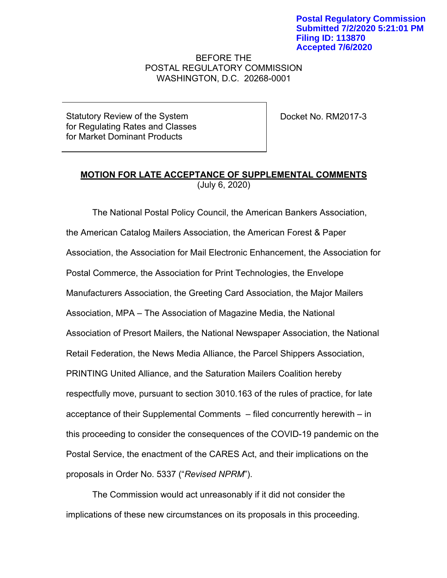## BEFORE THE POSTAL REGULATORY COMMISSION WASHINGTON, D.C. 20268-0001

Statutory Review of the System for Regulating Rates and Classes for Market Dominant Products

Docket No. RM2017-3

## **MOTION FOR LATE ACCEPTANCE OF SUPPLEMENTAL COMMENTS** (July 6, 2020)

The National Postal Policy Council, the American Bankers Association, the American Catalog Mailers Association, the American Forest & Paper Association, the Association for Mail Electronic Enhancement, the Association for Postal Commerce, the Association for Print Technologies, the Envelope Manufacturers Association, the Greeting Card Association, the Major Mailers Association, MPA – The Association of Magazine Media, the National Association of Presort Mailers, the National Newspaper Association, the National Retail Federation, the News Media Alliance, the Parcel Shippers Association, PRINTING United Alliance, and the Saturation Mailers Coalition hereby respectfully move, pursuant to section 3010.163 of the rules of practice, for late acceptance of their Supplemental Comments – filed concurrently herewith – in this proceeding to consider the consequences of the COVID-19 pandemic on the Postal Service, the enactment of the CARES Act, and their implications on the proposals in Order No. 5337 ("*Revised NPRM*").

The Commission would act unreasonably if it did not consider the implications of these new circumstances on its proposals in this proceeding.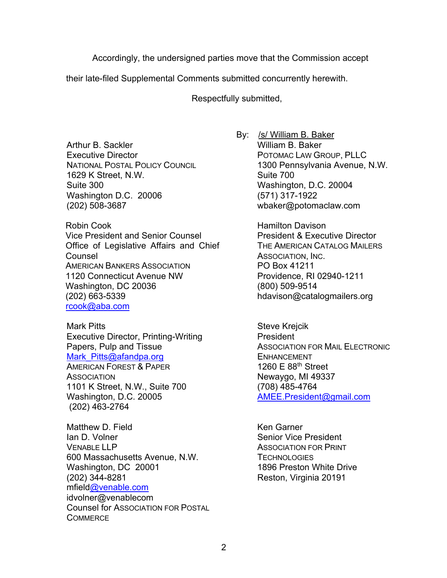Accordingly, the undersigned parties move that the Commission accept

their late-filed Supplemental Comments submitted concurrently herewith.

Respectfully submitted,

Arthur B. Sackler Executive Director NATIONAL POSTAL POLICY COUNCIL 1629 K Street, N.W. Suite 300 Washington D.C. 20006 (202) 508-3687

Robin Cook Vice President and Senior Counsel Office of Legislative Affairs and Chief Counsel AMERICAN BANKERS ASSOCIATION 1120 Connecticut Avenue NW Washington, DC 20036 (202) 663-5339 rcook@aba.com

Mark Pitts Executive Director, Printing-Writing Papers, Pulp and Tissue Mark Pitts@afandpa.org AMERICAN FOREST & PAPER **ASSOCIATION** 1101 K Street, N.W., Suite 700 Washington, D.C. 20005 (202) 463-2764

Matthew D. Field Ian D. Volner VENABLE LLP 600 Massachusetts Avenue, N.W. Washington, DC 20001 (202) 344-8281 mfield@venable.com idvolner@venablecom Counsel for ASSOCIATION FOR POSTAL **COMMERCE** 

By: /s/ William B. Baker William B. Baker POTOMAC LAW GROUP, PLLC 1300 Pennsylvania Avenue, N.W. Suite 700 Washington, D.C. 20004 (571) 317-1922 wbaker@potomaclaw.com

> Hamilton Davison President & Executive Director THE AMERICAN CATALOG MAILERS ASSOCIATION, INC. PO Box 41211 Providence, RI 02940-1211 (800) 509-9514 hdavison@catalogmailers.org

Steve Krejcik President ASSOCIATION FOR MAIL ELECTRONIC ENHANCEMENT 1260 E 88th Street Newaygo, MI 49337 (708) 485-4764 AMEE.President@gmail.com

Ken Garner Senior Vice President ASSOCIATION FOR PRINT **TECHNOLOGIES** 1896 Preston White Drive Reston, Virginia 20191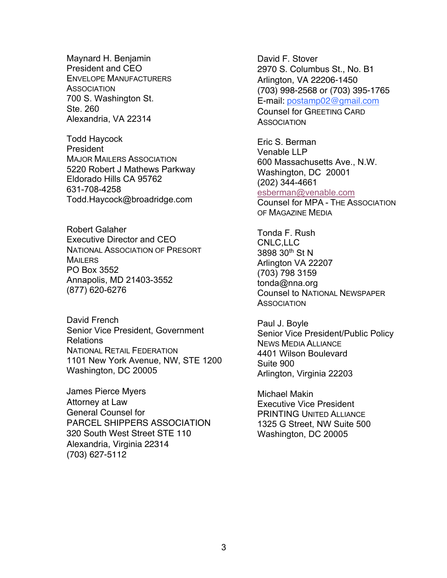Maynard H. Benjamin President and CEO ENVELOPE MANUFACTURERS **ASSOCIATION** 700 S. Washington St. Ste. 260 Alexandria, VA 22314

Todd Haycock **President** MAJOR MAILERS ASSOCIATION 5220 Robert J Mathews Parkway Eldorado Hills CA 95762 631-708-4258 Todd.Haycock@broadridge.com

Robert Galaher Executive Director and CEO NATIONAL ASSOCIATION OF PRESORT MAILERS PO Box 3552 Annapolis, MD 21403-3552 (877) 620-6276

David French Senior Vice President, Government Relations NATIONAL RETAIL FEDERATION 1101 New York Avenue, NW, STE 1200 Washington, DC 20005

James Pierce Myers Attorney at Law General Counsel for PARCEL SHIPPERS ASSOCIATION 320 South West Street STE 110 Alexandria, Virginia 22314 (703) 627-5112

David F. Stover 2970 S. Columbus St., No. B1 Arlington, VA 22206-1450 (703) 998-2568 or (703) 395-1765 E-mail: postamp02@gmail.com Counsel for GREETING CARD **ASSOCIATION** 

Eric S. Berman Venable LLP 600 Massachusetts Ave., N.W. Washington, DC 20001 (202) 344-4661 esberman@venable.com Counsel for MPA - THE ASSOCIATION OF MAGAZINE MEDIA

Tonda F. Rush CNLC,LLC 3898 30th St N Arlington VA 22207 (703) 798 3159 tonda@nna.org Counsel to NATIONAL NEWSPAPER **ASSOCIATION** 

Paul J. Boyle Senior Vice President/Public Policy NEWS MEDIA ALLIANCE 4401 Wilson Boulevard Suite 900 Arlington, Virginia 22203

Michael Makin Executive Vice President PRINTING UNITED ALLIANCE 1325 G Street, NW Suite 500 Washington, DC 20005